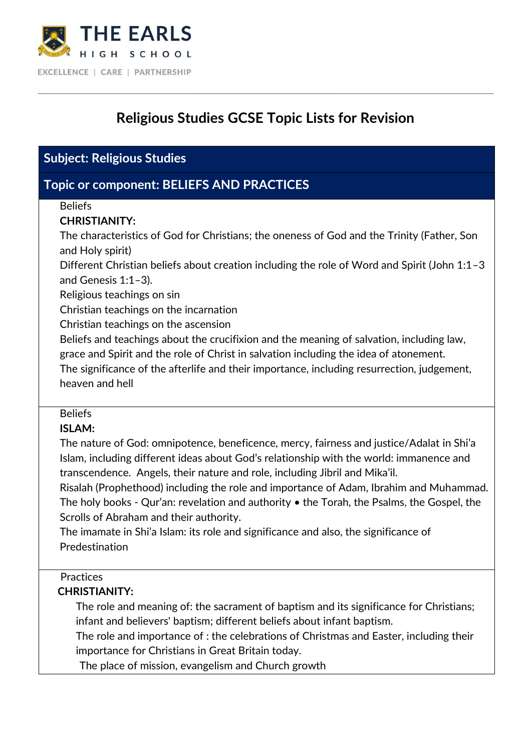

# **Religious Studies GCSE Topic Lists for Revision**

### **Subject: Religious Studies**

### **Topic or component: BELIEFS AND PRACTICES**

#### Beliefs

#### **CHRISTIANITY:**

The characteristics of God for Christians; the oneness of God and the Trinity (Father, Son and Holy spirit)

Different Christian beliefs about creation including the role of Word and Spirit (John 1:1–3 and Genesis 1:1–3).

Religious teachings on sin

Christian teachings on the incarnation

Christian teachings on the ascension

Beliefs and teachings about the crucifixion and the meaning of salvation, including law, grace and Spirit and the role of Christ in salvation including the idea of atonement.

The significance of the afterlife and their importance, including resurrection, judgement, heaven and hell

#### Beliefs

#### **ISLAM:**

The nature of God: omnipotence, beneficence, mercy, fairness and justice/Adalat in Shi'a Islam, including different ideas about God's relationship with the world: immanence and transcendence. Angels, their nature and role, including Jibril and Mika'il.

Risalah (Prophethood) including the role and importance of Adam, Ibrahim and Muhammad. The holy books - Qur'an: revelation and authority • the Torah, the Psalms, the Gospel, the Scrolls of Abraham and their authority.

The imamate in Shi'a Islam: its role and significance and also, the significance of Predestination

### **Practices**

#### **CHRISTIANITY:**

The role and meaning of: the sacrament of baptism and its significance for Christians; infant and believers' baptism; different beliefs about infant baptism.

The role and importance of : the celebrations of Christmas and Easter, including their importance for Christians in Great Britain today.

The place of mission, evangelism and Church growth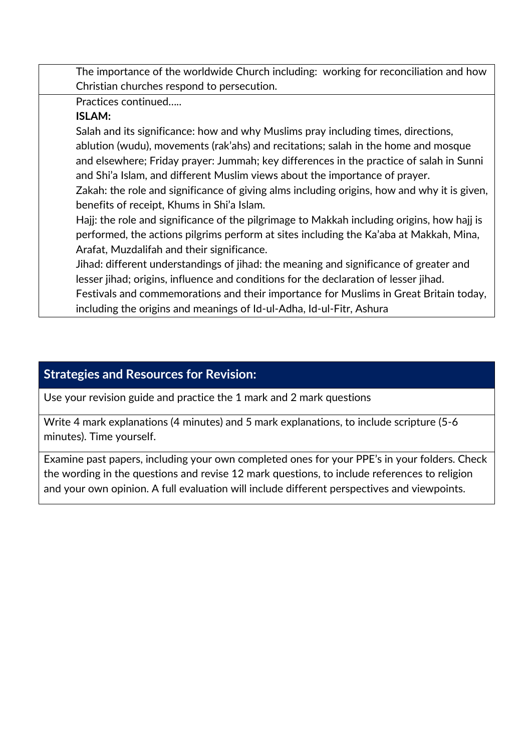The importance of the worldwide Church including: working for reconciliation and how Christian churches respond to persecution. Practices continued….. **ISLAM:** Salah and its significance: how and why Muslims pray including times, directions, ablution (wudu), movements (rak'ahs) and recitations; salah in the home and mosque and elsewhere; Friday prayer: Jummah; key differences in the practice of salah in Sunni and Shi'a Islam, and different Muslim views about the importance of prayer.

Zakah: the role and significance of giving alms including origins, how and why it is given, benefits of receipt, Khums in Shi'a Islam.

Hajj: the role and significance of the pilgrimage to Makkah including origins, how hajj is performed, the actions pilgrims perform at sites including the Ka'aba at Makkah, Mina, Arafat, Muzdalifah and their significance.

Jihad: different understandings of jihad: the meaning and significance of greater and lesser jihad; origins, influence and conditions for the declaration of lesser jihad. Festivals and commemorations and their importance for Muslims in Great Britain today, including the origins and meanings of Id-ul-Adha, Id-ul-Fitr, Ashura

### **Strategies and Resources for Revision:**

Use your revision guide and practice the 1 mark and 2 mark questions

Write 4 mark explanations (4 minutes) and 5 mark explanations, to include scripture (5-6 minutes). Time yourself.

Examine past papers, including your own completed ones for your PPE's in your folders. Check the wording in the questions and revise 12 mark questions, to include references to religion and your own opinion. A full evaluation will include different perspectives and viewpoints.